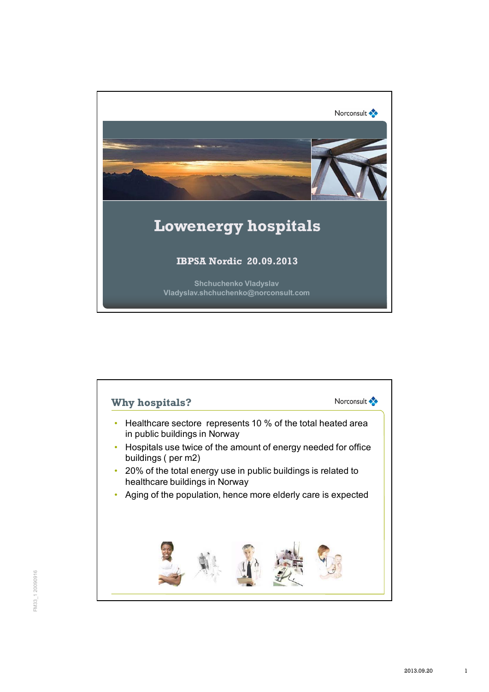

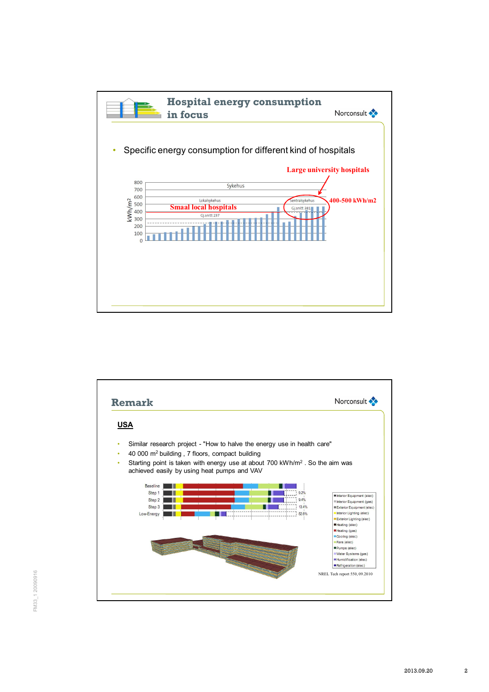

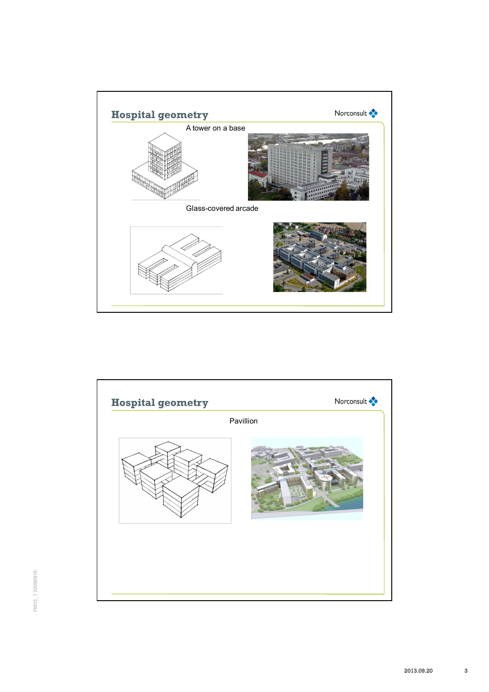

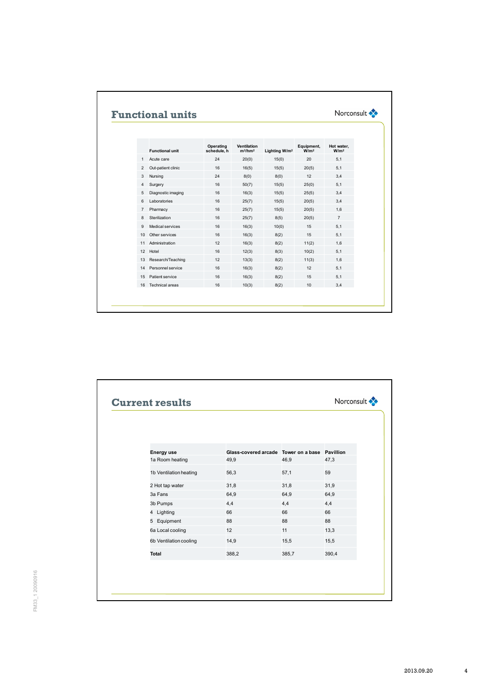|                | <b>Functional units</b> |                          |                                  |                           |                                | Norconsult <                   |
|----------------|-------------------------|--------------------------|----------------------------------|---------------------------|--------------------------------|--------------------------------|
|                | <b>Functional unit</b>  | Operating<br>schedule, h | <b>Ventilation</b><br>$m^3/hm^2$ | Lighting W/m <sup>2</sup> | Equipment,<br>W/m <sup>2</sup> | Hot water.<br>W/m <sup>2</sup> |
| $\mathbf{1}$   | Acute care              | 24                       | 20(0)                            | 15(0)                     | 20                             | 5.1                            |
| $\overline{2}$ | Out-patient clinic      | 16                       | 16(5)                            | 15(5)                     | 20(5)                          | 5,1                            |
| 3              | Nursing                 | 24                       | 8(0)                             | 8(0)                      | 12                             | 3.4                            |
| 4              | Surgery                 | 16                       | 50(7)                            | 15(5)                     | 25(0)                          | 5.1                            |
| 5              | Diagnostic imaging      | 16                       | 16(3)                            | 15(5)                     | 25(5)                          | 3,4                            |
| 6              | Laboratories            | 16                       | 25(7)                            | 15(5)                     | 20(5)                          | 3,4                            |
| $\overline{7}$ | Pharmacy                | 16                       | 25(7)                            | 15(5)                     | 20(5)                          | 1,6                            |
| 8              | Sterilization           | 16                       | 25(7)                            | 8(5)                      | 20(5)                          | $\overline{7}$                 |
| 9              | Medical services        | 16                       | 16(3)                            | 10(0)                     | 15                             | 5,1                            |
| 10             | Other services          | 16                       | 16(3)                            | 8(2)                      | 15                             | 5.1                            |
| 11             | Administration          | 12                       | 16(3)                            | 8(2)                      | 11(2)                          | 1.6                            |
| 12             | Hotel                   | 16                       | 12(3)                            | 8(3)                      | 10(2)                          | 5,1                            |
| 13             | Research/Teaching       | 12                       | 13(3)                            | 8(2)                      | 11(3)                          | 1.6                            |
| 14             | Personnel service       | 16                       | 16(3)                            | 8(2)                      | 12                             | 5,1                            |
| 15             | Patient service         | 16                       | 16(3)                            | 8(2)                      | 15                             | 5,1                            |
| 16             | Technical areas         | 16                       | 10(3)                            | 8(2)                      | 10                             | 3,4                            |

| <b>Energy use</b>      | Glass-covered arcade Tower on a base Pavillion |       |       |
|------------------------|------------------------------------------------|-------|-------|
| 1a Room heating        | 49,9                                           | 46,9  | 47,3  |
| 1b Ventilation heating | 56,3                                           | 57,1  | 59    |
| 2 Hot tap water        | 31,8                                           | 31,8  | 31,9  |
| 3a Fans                | 64,9                                           | 64,9  | 64,9  |
| 3b Pumps               | 4,4                                            | 4,4   | 4,4   |
| 4 Lighting             | 66                                             | 66    | 66    |
| 5 Equipment            | 88                                             | 88    | 88    |
| 6a Local cooling       | 12                                             | 11    | 13,3  |
| 6b Ventilation cooling | 14,9                                           | 15,5  | 15,5  |
| Total                  | 388,2                                          | 385,7 | 390,4 |
|                        |                                                |       |       |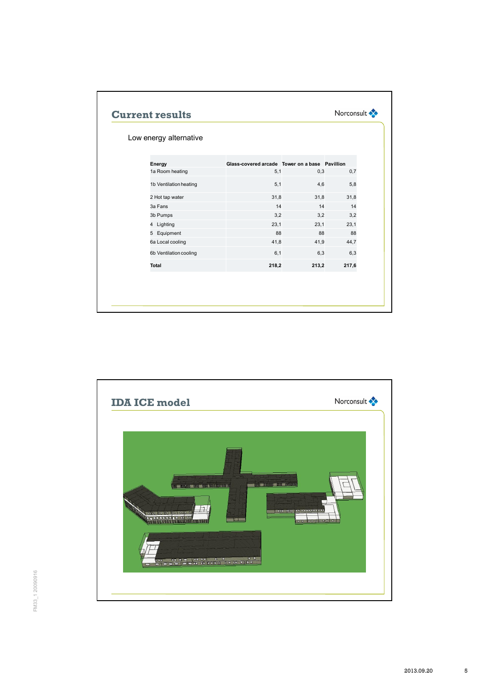| Low energy alternative |                                                |       |       |
|------------------------|------------------------------------------------|-------|-------|
| Energy                 | Glass-covered arcade Tower on a base Pavillion |       |       |
| 1a Room heating        | 5,1                                            | 0,3   | 0,7   |
| 1b Ventilation heating | 5,1                                            | 4,6   | 5,8   |
| 2 Hot tap water        | 31,8                                           | 31,8  | 31,8  |
| 3a Fans                | 14                                             | 14    | 14    |
| 3b Pumps               | 3,2                                            | 3,2   | 3,2   |
| 4 Lighting             | 23,1                                           | 23,1  | 23,1  |
| 5 Equipment            | 88                                             | 88    | 88    |
| 6a Local cooling       | 41,8                                           | 41,9  | 44,7  |
| 6b Ventilation cooling | 6,1                                            | 6,3   | 6,3   |
| Total                  | 218,2                                          | 213,2 | 217,6 |

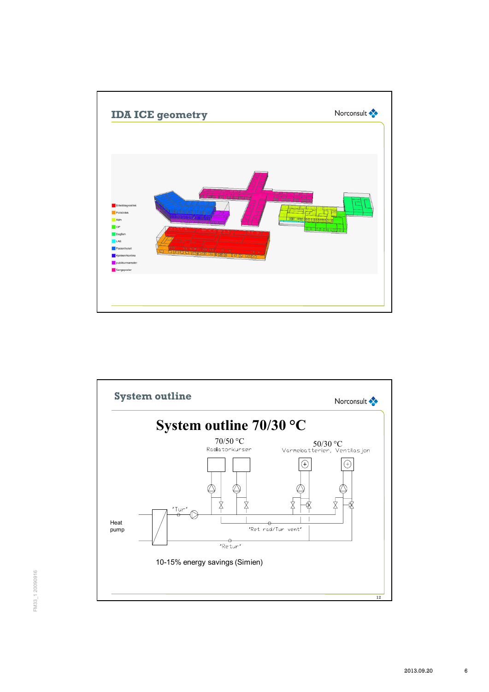

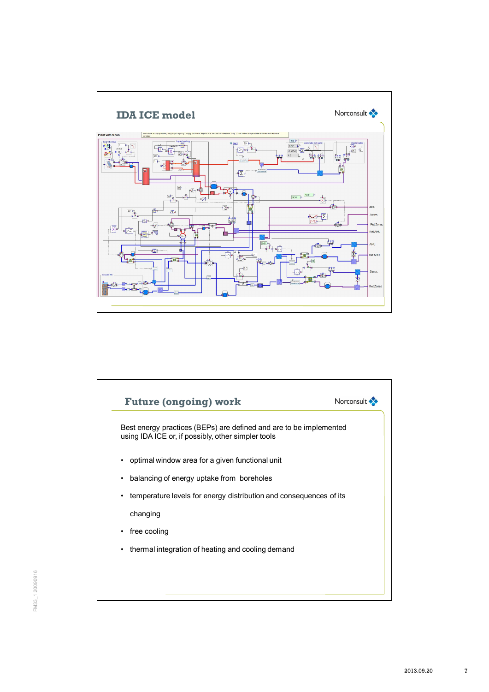